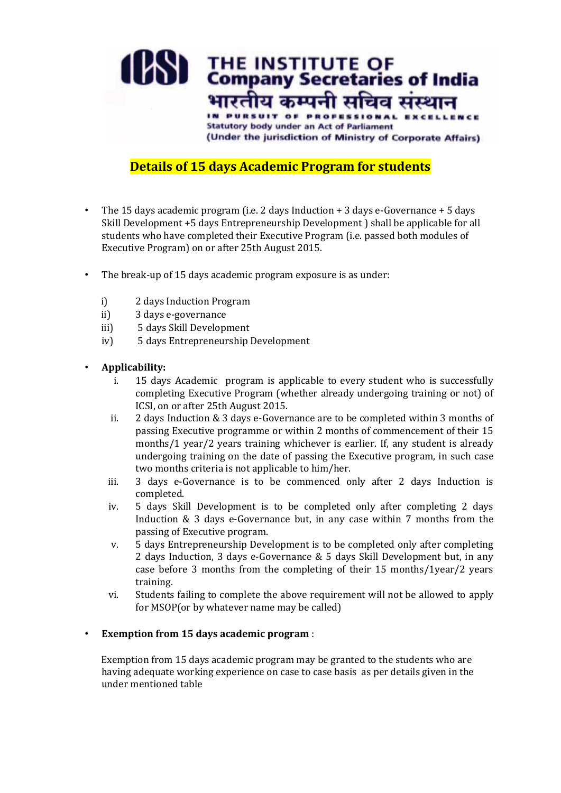

## **Details of 15 days Academic Program for students**

- The 15 days academic program (i.e. 2 days Induction + 3 days e-Governance + 5 days Skill Development +5 days Entrepreneurship Development ) shall be applicable for all students who have completed their Executive Program (i.e. passed both modules of Executive Program) on or after 25th August 2015.
- The break-up of 15 days academic program exposure is as under:
	- i) 2 days Induction Program
	- ii) 3 days e-governance
	- iii) 5 days Skill Development
	- iv) 5 days Entrepreneurship Development

#### • **Applicability:**

- i. 15 days Academic program is applicable to every student who is successfully completing Executive Program (whether already undergoing training or not) of ICSI, on or after 25th August 2015.
- ii. 2 days Induction & 3 days e-Governance are to be completed within 3 months of passing Executive programme or within 2 months of commencement of their 15 months/1 year/2 years training whichever is earlier. If, any student is already undergoing training on the date of passing the Executive program, in such case two months criteria is not applicable to him/her.
- iii. 3 days e-Governance is to be commenced only after 2 days Induction is completed.
- iv. 5 days Skill Development is to be completed only after completing 2 days Induction & 3 days e-Governance but, in any case within 7 months from the passing of Executive program.
- v. 5 days Entrepreneurship Development is to be completed only after completing 2 days Induction, 3 days e-Governance & 5 days Skill Development but, in any case before 3 months from the completing of their 15 months/1year/2 years training.
- vi. Students failing to complete the above requirement will not be allowed to apply for MSOP(or by whatever name may be called)

#### • **Exemption from 15 days academic program** :

Exemption from 15 days academic program may be granted to the students who are having adequate working experience on case to case basis as per details given in the under mentioned table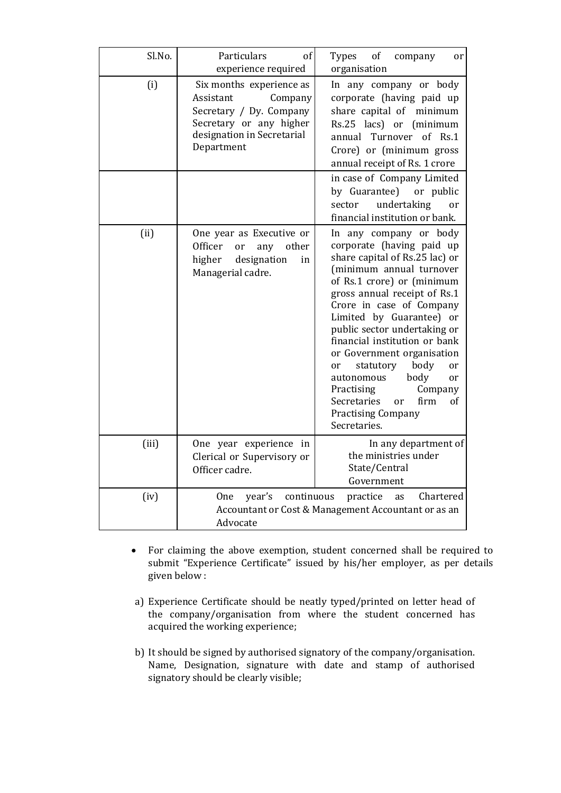| Sl.No. | Particulars<br>of<br>experience required                                                                                                           | Types<br>of<br>company<br><sub>or</sub><br>organisation                                                                                                                                                                                                                                                                                                                                                                                                                                                                                                  |
|--------|----------------------------------------------------------------------------------------------------------------------------------------------------|----------------------------------------------------------------------------------------------------------------------------------------------------------------------------------------------------------------------------------------------------------------------------------------------------------------------------------------------------------------------------------------------------------------------------------------------------------------------------------------------------------------------------------------------------------|
| (i)    | Six months experience as<br>Company<br>Assistant<br>Secretary / Dy. Company<br>Secretary or any higher<br>designation in Secretarial<br>Department | In any company or body<br>corporate (having paid up<br>share capital of minimum<br>Rs.25 lacs) or<br>(minimum<br>annual Turnover of Rs.1<br>Crore) or (minimum gross<br>annual receipt of Rs. 1 crore<br>in case of Company Limited<br>by Guarantee)<br>or public<br>undertaking<br>sector<br><sub>or</sub><br>financial institution or bank.                                                                                                                                                                                                            |
| (ii)   | One year as Executive or<br>Officer<br>other<br>any<br><b>or</b><br>higher<br>designation<br>in<br>Managerial cadre.                               | In any company or body<br>corporate (having paid up<br>share capital of Rs.25 lac) or<br>(minimum annual turnover<br>of Rs.1 crore) or (minimum<br>gross annual receipt of Rs.1<br>Crore in case of Company<br>Limited by Guarantee) or<br>public sector undertaking or<br>financial institution or bank<br>or Government organisation<br>statutory<br>body<br><sub>or</sub><br><sub>or</sub><br>body<br>autonomous<br><sub>or</sub><br>Practising<br>Company<br>Secretaries<br>firm<br>of<br><sub>or</sub><br><b>Practising Company</b><br>Secretaries. |
| (iii)  | One year experience in<br>Clerical or Supervisory or<br>Officer cadre.                                                                             | In any department of<br>the ministries under<br>State/Central<br>Government                                                                                                                                                                                                                                                                                                                                                                                                                                                                              |
| (iv)   | year's<br>continuous<br><b>One</b><br>Advocate                                                                                                     | Chartered<br>practice<br>as<br>Accountant or Cost & Management Accountant or as an                                                                                                                                                                                                                                                                                                                                                                                                                                                                       |

- For claiming the above exemption, student concerned shall be required to submit "Experience Certificate" issued by his/her employer, as per details given below :
- a) Experience Certificate should be neatly typed/printed on letter head of the company/organisation from where the student concerned has acquired the working experience;
- b) It should be signed by authorised signatory of the company/organisation. Name, Designation, signature with date and stamp of authorised signatory should be clearly visible;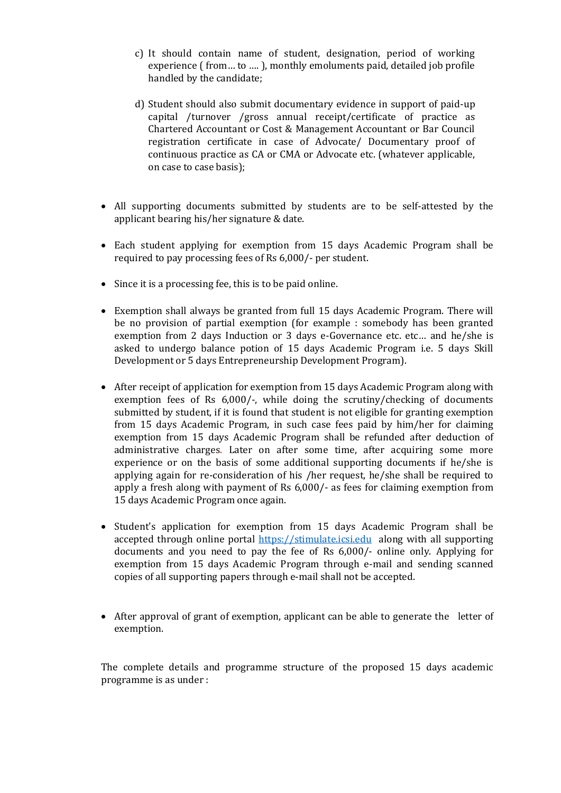- c) It should contain name of student, designation, period of working experience ( from… to …. ), monthly emoluments paid, detailed job profile handled by the candidate;
- d) Student should also submit documentary evidence in support of paid-up capital /turnover /gross annual receipt/certificate of practice as Chartered Accountant or Cost & Management Accountant or Bar Council registration certificate in case of Advocate/ Documentary proof of continuous practice as CA or CMA or Advocate etc. (whatever applicable, on case to case basis);
- All supporting documents submitted by students are to be self-attested by the applicant bearing his/her signature & date.
- Each student applying for exemption from 15 days Academic Program shall be required to pay processing fees of Rs 6,000/- per student.
- Since it is a processing fee, this is to be paid online.
- Exemption shall always be granted from full 15 days Academic Program. There will be no provision of partial exemption (for example : somebody has been granted exemption from 2 days Induction or 3 days e-Governance etc. etc… and he/she is asked to undergo balance potion of 15 days Academic Program i.e. 5 days Skill Development or 5 days Entrepreneurship Development Program).
- After receipt of application for exemption from 15 days Academic Program along with exemption fees of Rs 6,000/-, while doing the scrutiny/checking of documents submitted by student, if it is found that student is not eligible for granting exemption from 15 days Academic Program, in such case fees paid by him/her for claiming exemption from 15 days Academic Program shall be refunded after deduction of administrative charges. Later on after some time, after acquiring some more experience or on the basis of some additional supporting documents if he/she is applying again for re-consideration of his /her request, he/she shall be required to apply a fresh along with payment of Rs 6,000/- as fees for claiming exemption from 15 days Academic Program once again.
- Student's application for exemption from 15 days Academic Program shall be accepted through online portal [https://stimulate.icsi.edu](https://stimulate.icsi.edu/) along with all supporting documents and you need to pay the fee of Rs 6,000/- online only. Applying for exemption from 15 days Academic Program through e-mail and sending scanned copies of all supporting papers through e-mail shall not be accepted.
- After approval of grant of exemption, applicant can be able to generate the letter of exemption.

The complete details and programme structure of the proposed 15 days academic programme is as under :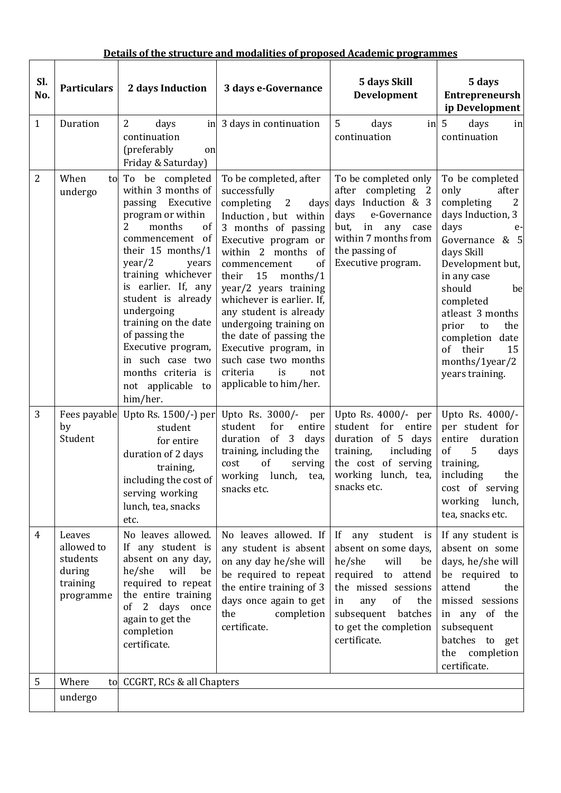|  | Details of the structure and modalities of proposed Academic programmes |  |
|--|-------------------------------------------------------------------------|--|
|  |                                                                         |  |

|                |                                                                     |                                                                                                                                                                                                                                                                                                                                                                                                     | <u>Details of the structure and modalities of proposed Academic programmes</u>                                                                                                                                                                                                                                                                                                                                                                                 |                                                                                                                                                                                                         |                                                                                                                                                                                                                                                                                                                 |
|----------------|---------------------------------------------------------------------|-----------------------------------------------------------------------------------------------------------------------------------------------------------------------------------------------------------------------------------------------------------------------------------------------------------------------------------------------------------------------------------------------------|----------------------------------------------------------------------------------------------------------------------------------------------------------------------------------------------------------------------------------------------------------------------------------------------------------------------------------------------------------------------------------------------------------------------------------------------------------------|---------------------------------------------------------------------------------------------------------------------------------------------------------------------------------------------------------|-----------------------------------------------------------------------------------------------------------------------------------------------------------------------------------------------------------------------------------------------------------------------------------------------------------------|
| Sl.<br>No.     | <b>Particulars</b>                                                  | 2 days Induction                                                                                                                                                                                                                                                                                                                                                                                    | 3 days e-Governance                                                                                                                                                                                                                                                                                                                                                                                                                                            | 5 days Skill<br>Development                                                                                                                                                                             | 5 days<br><b>Entrepreneursh</b><br>ip Development                                                                                                                                                                                                                                                               |
| $\mathbf{1}$   | Duration                                                            | 2<br>days<br>in<br>continuation<br>(preferably<br>on<br>Friday & Saturday)                                                                                                                                                                                                                                                                                                                          | 3 days in continuation                                                                                                                                                                                                                                                                                                                                                                                                                                         | 5<br>days<br>in<br>continuation                                                                                                                                                                         | $5\phantom{1}$<br>days<br>in<br>continuation                                                                                                                                                                                                                                                                    |
| $\overline{2}$ | When<br>undergo                                                     | to To be completed<br>within 3 months of<br>passing<br>Executive<br>program or within<br>2<br>months<br>of<br>commencement of<br>their $15$ months/1<br>year/2<br>years<br>training whichever<br>is earlier. If, any<br>student is already<br>undergoing<br>training on the date<br>of passing the<br>Executive program,<br>in such case two<br>months criteria is<br>not applicable to<br>him/her. | To be completed, after<br>successfully<br>completing<br>2<br>days<br>Induction, but within<br>3 months of passing<br>Executive program or<br>within 2 months<br>- of<br>of<br>commencement<br>their<br>15<br>months/1<br>year/2 years training<br>whichever is earlier. If,<br>any student is already<br>undergoing training on<br>the date of passing the<br>Executive program, in<br>such case two months<br>criteria<br>is<br>not<br>applicable to him/her. | To be completed only<br>after completing 2<br>days Induction & 3<br>days<br>e-Governance<br>but,<br>in<br>any<br>case<br>within 7 months from<br>the passing of<br>Executive program.                   | To be completed<br>only<br>after<br>completing<br>2<br>days Induction, 3<br>days<br>e-<br>Governance $& 5$<br>days Skill<br>Development but,<br>in any case<br>should<br>be<br>completed<br>atleast 3 months<br>prior<br>the<br>to<br>completion date<br>their<br>15<br>of<br>months/1year/2<br>years training. |
| 3              | by<br>Student                                                       | Fees payable Upto Rs. 1500/-) per<br>student<br>for entire<br>duration of 2 days<br>training,<br>including the cost of<br>serving working<br>lunch, tea, snacks<br>etc.                                                                                                                                                                                                                             | Upto Rs. 3000/- per<br>for<br>student<br>entire<br>duration<br>$of \quad 3$<br>days<br>training, including the<br>of<br>serving<br>cost<br>working lunch, tea,<br>snacks etc.                                                                                                                                                                                                                                                                                  | Upto Rs. 4000/- per<br>student for entire<br>duration of 5 days<br>training,<br>including<br>the cost of serving<br>working lunch, tea,<br>snacks etc.                                                  | Upto Rs. 4000/-<br>per student for<br>duration<br>entire<br>of<br>5<br>days<br>training,<br>including<br>the<br>cost of serving<br>working<br>lunch,<br>tea, snacks etc.                                                                                                                                        |
| $\overline{4}$ | Leaves<br>allowed to<br>students<br>during<br>training<br>programme | No leaves allowed.<br>If any student is<br>absent on any day,<br>he/she<br>will<br>be<br>required to repeat<br>the entire training<br>of<br>2 days once<br>again to get the<br>completion<br>certificate.                                                                                                                                                                                           | No leaves allowed. If<br>any student is absent<br>on any day he/she will<br>be required to repeat<br>the entire training of 3<br>days once again to get<br>completion<br>the<br>certificate.                                                                                                                                                                                                                                                                   | If any student is<br>absent on some days,<br>will<br>he/she<br>be<br>required to attend<br>the missed sessions<br>of<br>in<br>any<br>the<br>subsequent batches<br>to get the completion<br>certificate. | If any student is<br>absent on some<br>days, he/she will<br>be required to<br>attend<br>the<br>missed sessions<br>in any of the<br>subsequent<br>batches to get<br>the completion<br>certificate.                                                                                                               |
| 5              | Where                                                               | to CCGRT, RCs & all Chapters                                                                                                                                                                                                                                                                                                                                                                        |                                                                                                                                                                                                                                                                                                                                                                                                                                                                |                                                                                                                                                                                                         |                                                                                                                                                                                                                                                                                                                 |
|                | undergo                                                             |                                                                                                                                                                                                                                                                                                                                                                                                     |                                                                                                                                                                                                                                                                                                                                                                                                                                                                |                                                                                                                                                                                                         |                                                                                                                                                                                                                                                                                                                 |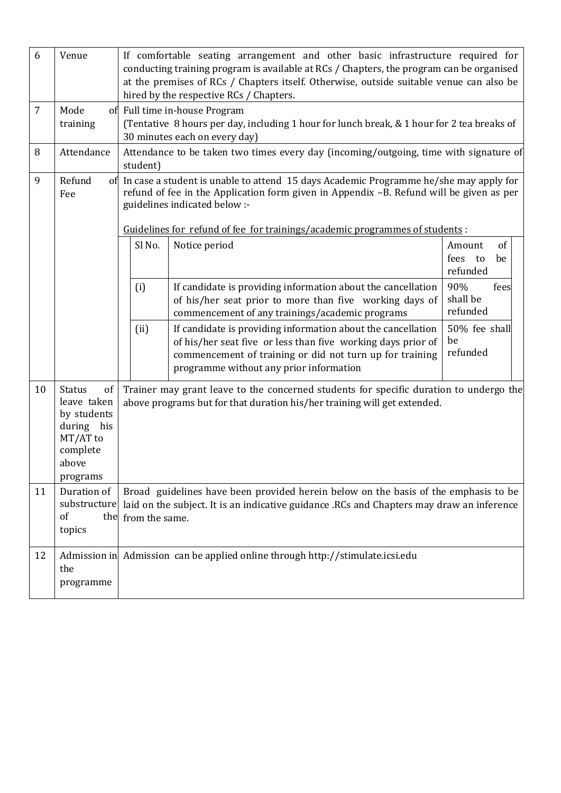| 6<br>7 | Venue<br>Mode                                                                                                           |                                                                                                                                                                                                                                                                                                      | If comfortable seating arrangement and other basic infrastructure required for<br>conducting training program is available at RCs / Chapters, the program can be organised<br>at the premises of RCs / Chapters itself. Otherwise, outside suitable venue can also be<br>hired by the respective RCs / Chapters.<br>of Full time in-house Program |                                           |
|--------|-------------------------------------------------------------------------------------------------------------------------|------------------------------------------------------------------------------------------------------------------------------------------------------------------------------------------------------------------------------------------------------------------------------------------------------|---------------------------------------------------------------------------------------------------------------------------------------------------------------------------------------------------------------------------------------------------------------------------------------------------------------------------------------------------|-------------------------------------------|
|        | training                                                                                                                |                                                                                                                                                                                                                                                                                                      | (Tentative 8 hours per day, including 1 hour for lunch break, & 1 hour for 2 tea breaks of<br>30 minutes each on every day)                                                                                                                                                                                                                       |                                           |
| 8      | Attendance                                                                                                              | student)                                                                                                                                                                                                                                                                                             | Attendance to be taken two times every day (incoming/outgoing, time with signature of                                                                                                                                                                                                                                                             |                                           |
| 9      | Refund<br>Fee                                                                                                           | of In case a student is unable to attend 15 days Academic Programme he/she may apply for<br>refund of fee in the Application form given in Appendix -B. Refund will be given as per<br>guidelines indicated below :-<br>Guidelines for refund of fee for trainings/academic programmes of students : |                                                                                                                                                                                                                                                                                                                                                   |                                           |
|        |                                                                                                                         | Sl No.                                                                                                                                                                                                                                                                                               | Notice period                                                                                                                                                                                                                                                                                                                                     | of<br>Amount<br>fees to<br>be<br>refunded |
|        |                                                                                                                         | (i)                                                                                                                                                                                                                                                                                                  | If candidate is providing information about the cancellation<br>of his/her seat prior to more than five working days of<br>commencement of any trainings/academic programs                                                                                                                                                                        | 90%<br>fees<br>shall be<br>refunded       |
|        |                                                                                                                         | (ii)                                                                                                                                                                                                                                                                                                 | If candidate is providing information about the cancellation<br>of his/her seat five or less than five working days prior of<br>commencement of training or did not turn up for training<br>programme without any prior information                                                                                                               | 50% fee shall<br>be<br>refunded           |
| 10     | <b>Status</b><br><sub>of</sub><br>leave taken<br>by students<br>during his<br>MT/AT to<br>complete<br>above<br>programs |                                                                                                                                                                                                                                                                                                      | Trainer may grant leave to the concerned students for specific duration to undergo the<br>above programs but for that duration his/her training will get extended.                                                                                                                                                                                |                                           |
| 11     | Duration of<br>substructure<br>of<br>the<br>topics                                                                      | from the same.                                                                                                                                                                                                                                                                                       | Broad guidelines have been provided herein below on the basis of the emphasis to be<br>laid on the subject. It is an indicative guidance .RCs and Chapters may draw an inference                                                                                                                                                                  |                                           |
| 12     | the<br>programme                                                                                                        |                                                                                                                                                                                                                                                                                                      | Admission in Admission can be applied online through http://stimulate.icsi.edu                                                                                                                                                                                                                                                                    |                                           |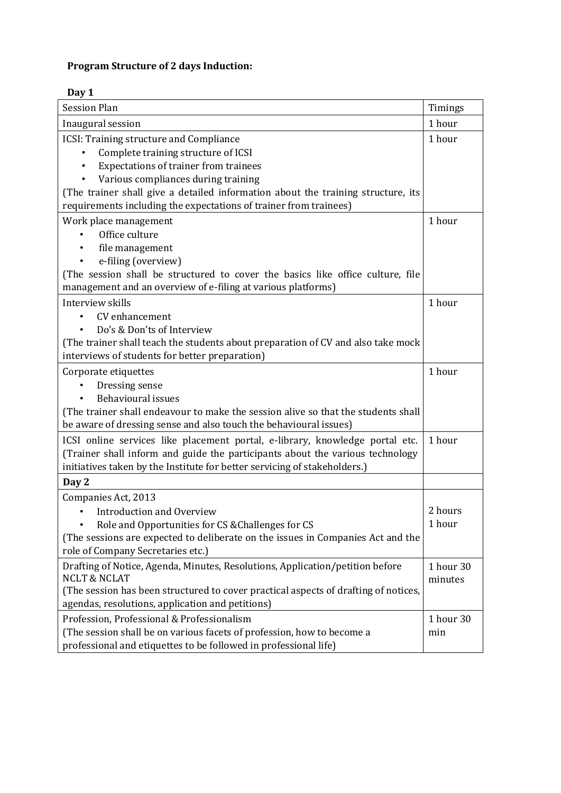## **Program Structure of 2 days Induction:**

## **Day 1**

| <b>Session Plan</b>                                                                                      | Timings              |
|----------------------------------------------------------------------------------------------------------|----------------------|
| Inaugural session                                                                                        | 1 hour               |
| ICSI: Training structure and Compliance                                                                  | 1 hour               |
| Complete training structure of ICSI                                                                      |                      |
| Expectations of trainer from trainees                                                                    |                      |
| Various compliances during training                                                                      |                      |
| (The trainer shall give a detailed information about the training structure, its                         |                      |
| requirements including the expectations of trainer from trainees)                                        |                      |
| Work place management                                                                                    | 1 hour               |
| Office culture                                                                                           |                      |
| file management                                                                                          |                      |
| e-filing (overview)                                                                                      |                      |
| (The session shall be structured to cover the basics like office culture, file                           |                      |
| management and an overview of e-filing at various platforms)                                             |                      |
| Interview skills                                                                                         | 1 hour               |
| CV enhancement                                                                                           |                      |
| Do's & Don'ts of Interview                                                                               |                      |
| (The trainer shall teach the students about preparation of CV and also take mock                         |                      |
| interviews of students for better preparation)                                                           |                      |
| Corporate etiquettes                                                                                     | 1 hour               |
| Dressing sense                                                                                           |                      |
| <b>Behavioural issues</b>                                                                                |                      |
| (The trainer shall endeavour to make the session alive so that the students shall                        |                      |
| be aware of dressing sense and also touch the behavioural issues)                                        |                      |
| ICSI online services like placement portal, e-library, knowledge portal etc.                             | 1 hour               |
| (Trainer shall inform and guide the participants about the various technology                            |                      |
| initiatives taken by the Institute for better servicing of stakeholders.)                                |                      |
| Day 2                                                                                                    |                      |
| Companies Act, 2013                                                                                      |                      |
| <b>Introduction and Overview</b><br>$\bullet$                                                            | 2 hours              |
| Role and Opportunities for CS & Challenges for CS                                                        | 1 hour               |
| (The sessions are expected to deliberate on the issues in Companies Act and the                          |                      |
| role of Company Secretaries etc.)                                                                        |                      |
| Drafting of Notice, Agenda, Minutes, Resolutions, Application/petition before<br><b>NCLT &amp; NCLAT</b> | 1 hour 30<br>minutes |
| (The session has been structured to cover practical aspects of drafting of notices,                      |                      |
| agendas, resolutions, application and petitions)                                                         |                      |
| Profession, Professional & Professionalism                                                               | 1 hour 30            |
| (The session shall be on various facets of profession, how to become a                                   | min                  |
| professional and etiquettes to be followed in professional life)                                         |                      |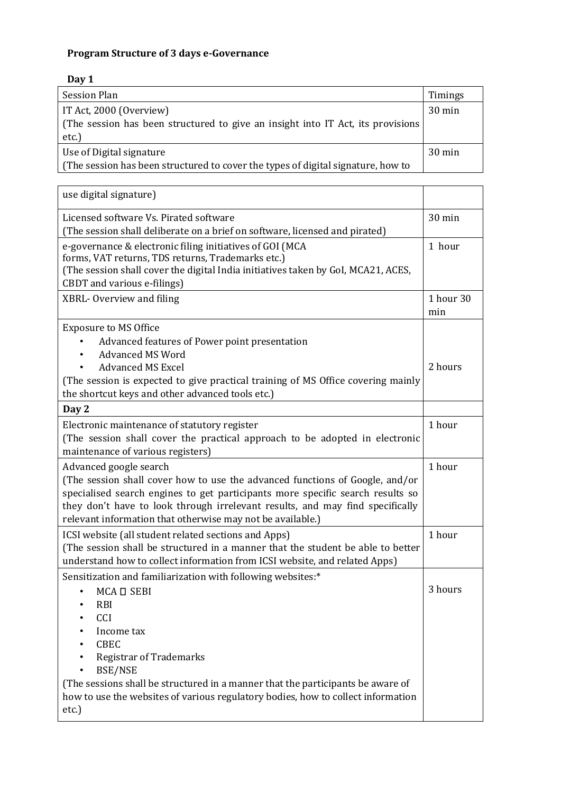## **Program Structure of 3 days e-Governance**

## **Day 1**

| <b>Session Plan</b>                                                              | Timings          |
|----------------------------------------------------------------------------------|------------------|
| IT Act, 2000 (Overview)                                                          | $30 \text{ min}$ |
| (The session has been structured to give an insight into IT Act, its provisions  |                  |
| etc.)                                                                            |                  |
| Use of Digital signature                                                         | $30 \text{ min}$ |
| (The session has been structured to cover the types of digital signature, how to |                  |

| use digital signature)                                                                                                                                                                                                                                                                                                                                     |                  |
|------------------------------------------------------------------------------------------------------------------------------------------------------------------------------------------------------------------------------------------------------------------------------------------------------------------------------------------------------------|------------------|
| Licensed software Vs. Pirated software<br>(The session shall deliberate on a brief on software, licensed and pirated)                                                                                                                                                                                                                                      | 30 min           |
| e-governance & electronic filing initiatives of GOI (MCA<br>forms, VAT returns, TDS returns, Trademarks etc.)<br>(The session shall cover the digital India initiatives taken by GoI, MCA21, ACES,<br>CBDT and various e-filings)                                                                                                                          | 1 hour           |
| XBRL-Overview and filing                                                                                                                                                                                                                                                                                                                                   | 1 hour 30<br>min |
| <b>Exposure to MS Office</b><br>Advanced features of Power point presentation<br><b>Advanced MS Word</b><br><b>Advanced MS Excel</b><br>(The session is expected to give practical training of MS Office covering mainly<br>the shortcut keys and other advanced tools etc.)                                                                               | 2 hours          |
| Day 2                                                                                                                                                                                                                                                                                                                                                      |                  |
| Electronic maintenance of statutory register<br>(The session shall cover the practical approach to be adopted in electronic<br>maintenance of various registers)                                                                                                                                                                                           | 1 hour           |
| Advanced google search<br>(The session shall cover how to use the advanced functions of Google, and/or<br>specialised search engines to get participants more specific search results so<br>they don't have to look through irrelevant results, and may find specifically<br>relevant information that otherwise may not be available.)                    | 1 hour           |
| ICSI website (all student related sections and Apps)<br>(The session shall be structured in a manner that the student be able to better<br>understand how to collect information from ICSI website, and related Apps)                                                                                                                                      | 1 hour           |
| Sensitization and familiarization with following websites:*<br>MCA <sub>D</sub> SEBI<br>RBI<br>CCI<br>Income tax<br><b>CBEC</b><br><b>Registrar of Trademarks</b><br><b>BSE/NSE</b><br>(The sessions shall be structured in a manner that the participants be aware of<br>how to use the websites of various regulatory bodies, how to collect information | 3 hours          |
| etc.)                                                                                                                                                                                                                                                                                                                                                      |                  |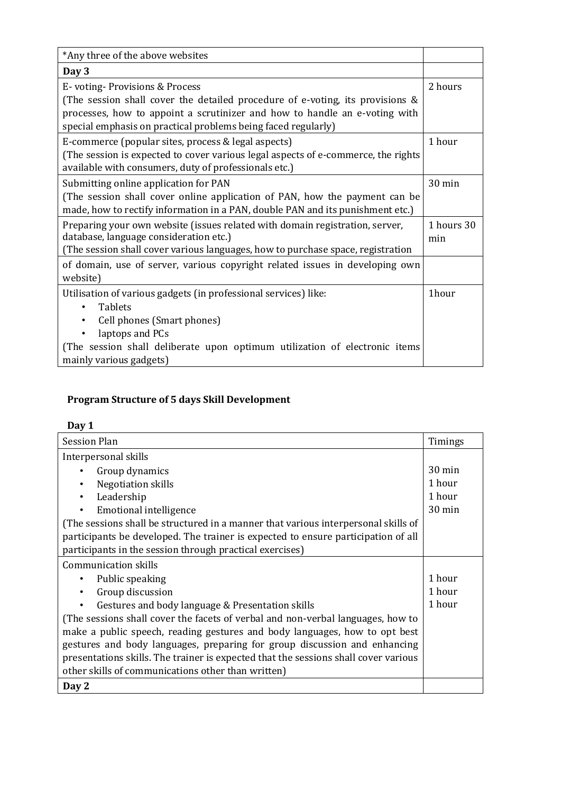| *Any three of the above websites                                                                                                                                                                                                                              |                   |
|---------------------------------------------------------------------------------------------------------------------------------------------------------------------------------------------------------------------------------------------------------------|-------------------|
| Day 3                                                                                                                                                                                                                                                         |                   |
| E-voting-Provisions & Process<br>(The session shall cover the detailed procedure of e-voting, its provisions &<br>processes, how to appoint a scrutinizer and how to handle an e-voting with<br>special emphasis on practical problems being faced regularly) | 2 hours           |
| E-commerce (popular sites, process & legal aspects)<br>(The session is expected to cover various legal aspects of e-commerce, the rights<br>available with consumers, duty of professionals etc.)                                                             | 1 hour            |
| Submitting online application for PAN<br>(The session shall cover online application of PAN, how the payment can be<br>made, how to rectify information in a PAN, double PAN and its punishment etc.)                                                         | $30 \text{ min}$  |
| Preparing your own website (issues related with domain registration, server,<br>database, language consideration etc.)<br>(The session shall cover various languages, how to purchase space, registration                                                     | 1 hours 30<br>min |
| of domain, use of server, various copyright related issues in developing own<br>website)                                                                                                                                                                      |                   |
| Utilisation of various gadgets (in professional services) like:<br><b>Tablets</b><br>$\bullet$<br>Cell phones (Smart phones)<br>laptops and PCs<br>(The session shall deliberate upon optimum utilization of electronic items<br>mainly various gadgets)      | 1hour             |

# **Program Structure of 5 days Skill Development**

#### **Day 1**

| <b>Session Plan</b>                                                                 | Timings          |
|-------------------------------------------------------------------------------------|------------------|
| Interpersonal skills                                                                |                  |
| Group dynamics                                                                      | $30 \text{ min}$ |
| Negotiation skills                                                                  | 1 hour           |
| Leadership                                                                          | 1 hour           |
| <b>Emotional intelligence</b><br>٠                                                  | $30 \text{ min}$ |
| (The sessions shall be structured in a manner that various interpersonal skills of  |                  |
| participants be developed. The trainer is expected to ensure participation of all   |                  |
| participants in the session through practical exercises)                            |                  |
| Communication skills                                                                |                  |
| Public speaking                                                                     | 1 hour           |
| Group discussion                                                                    | 1 hour           |
| Gestures and body language & Presentation skills                                    | 1 hour           |
| (The sessions shall cover the facets of verbal and non-verbal languages, how to     |                  |
| make a public speech, reading gestures and body languages, how to opt best          |                  |
| gestures and body languages, preparing for group discussion and enhancing           |                  |
| presentations skills. The trainer is expected that the sessions shall cover various |                  |
| other skills of communications other than written)                                  |                  |
| Day 2                                                                               |                  |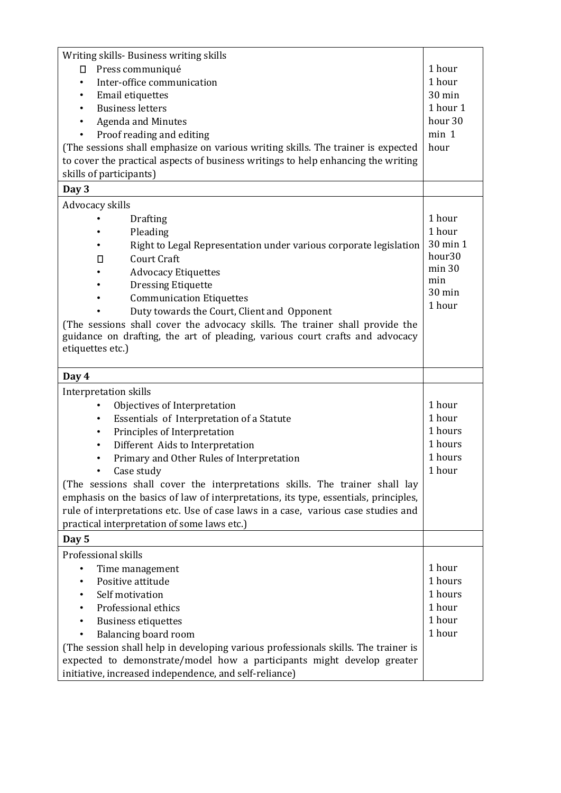| Writing skills- Business writing skills                                             |                    |  |  |
|-------------------------------------------------------------------------------------|--------------------|--|--|
| Press communiqué<br>0                                                               |                    |  |  |
| Inter-office communication<br>$\bullet$                                             |                    |  |  |
| Email etiquettes                                                                    |                    |  |  |
| <b>Business letters</b>                                                             | 1 hour 1           |  |  |
| <b>Agenda and Minutes</b><br>$\bullet$                                              | hour <sub>30</sub> |  |  |
| Proof reading and editing<br>$\bullet$                                              | min 1              |  |  |
| (The sessions shall emphasize on various writing skills. The trainer is expected    | hour               |  |  |
| to cover the practical aspects of business writings to help enhancing the writing   |                    |  |  |
| skills of participants)                                                             |                    |  |  |
| Day 3                                                                               |                    |  |  |
| Advocacy skills                                                                     |                    |  |  |
| <b>Drafting</b>                                                                     | 1 hour             |  |  |
| Pleading                                                                            | 1 hour             |  |  |
| Right to Legal Representation under various corporate legislation                   | 30 min 1           |  |  |
| <b>Court Craft</b><br>П                                                             | hour <sub>30</sub> |  |  |
| <b>Advocacy Etiquettes</b>                                                          | min 30             |  |  |
| <b>Dressing Etiquette</b>                                                           | min                |  |  |
| <b>Communication Etiquettes</b>                                                     | 30 min             |  |  |
| Duty towards the Court, Client and Opponent                                         | 1 hour             |  |  |
| (The sessions shall cover the advocacy skills. The trainer shall provide the        |                    |  |  |
| guidance on drafting, the art of pleading, various court crafts and advocacy        |                    |  |  |
| etiquettes etc.)                                                                    |                    |  |  |
|                                                                                     |                    |  |  |
| Day 4                                                                               |                    |  |  |
| Interpretation skills                                                               |                    |  |  |
| Objectives of Interpretation                                                        | 1 hour             |  |  |
| Essentials of Interpretation of a Statute<br>$\bullet$                              | 1 hour             |  |  |
| Principles of Interpretation<br>$\bullet$                                           | 1 hours            |  |  |
| Different Aids to Interpretation<br>$\bullet$                                       | 1 hours            |  |  |
| Primary and Other Rules of Interpretation<br>٠                                      | 1 hours            |  |  |
| Case study                                                                          | 1 hour             |  |  |
| (The sessions shall cover the interpretations skills. The trainer shall lay         |                    |  |  |
| emphasis on the basics of law of interpretations, its type, essentials, principles, |                    |  |  |
| rule of interpretations etc. Use of case laws in a case, various case studies and   |                    |  |  |
| practical interpretation of some laws etc.)                                         |                    |  |  |
| Day 5                                                                               |                    |  |  |
| Professional skills                                                                 |                    |  |  |
| Time management<br>$\bullet$                                                        | 1 hour<br>1 hours  |  |  |
| Positive attitude                                                                   |                    |  |  |
| Self motivation                                                                     |                    |  |  |
| Professional ethics                                                                 |                    |  |  |
| <b>Business etiquettes</b>                                                          |                    |  |  |
| Balancing board room                                                                |                    |  |  |
| (The session shall help in developing various professionals skills. The trainer is  |                    |  |  |
| expected to demonstrate/model how a participants might develop greater              |                    |  |  |
| initiative, increased independence, and self-reliance)                              |                    |  |  |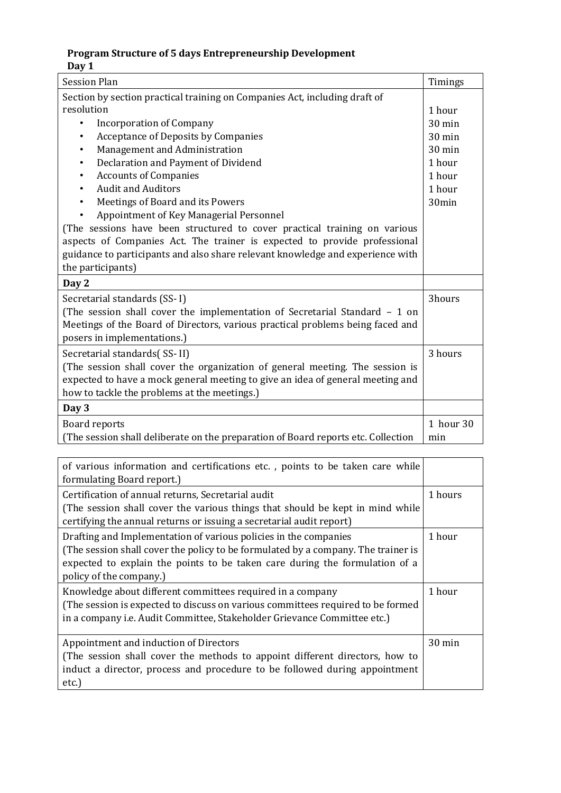### **Program Structure of 5 days Entrepreneurship Development Day 1**

| <b>Session Plan</b>                                                               | Timings          |  |
|-----------------------------------------------------------------------------------|------------------|--|
| Section by section practical training on Companies Act, including draft of        |                  |  |
| resolution                                                                        |                  |  |
| <b>Incorporation of Company</b><br>$\bullet$                                      | 30 min           |  |
| <b>Acceptance of Deposits by Companies</b><br>$\bullet$                           | $30 \text{ min}$ |  |
| Management and Administration<br>٠                                                | 30 min           |  |
| Declaration and Payment of Dividend<br>٠                                          | 1 hour           |  |
| <b>Accounts of Companies</b><br>٠                                                 | 1 hour           |  |
| <b>Audit and Auditors</b>                                                         | 1 hour           |  |
| Meetings of Board and its Powers<br>$\bullet$                                     | 30min            |  |
| Appointment of Key Managerial Personnel                                           |                  |  |
| (The sessions have been structured to cover practical training on various         |                  |  |
| aspects of Companies Act. The trainer is expected to provide professional         |                  |  |
| guidance to participants and also share relevant knowledge and experience with    |                  |  |
| the participants)                                                                 |                  |  |
| Day 2                                                                             |                  |  |
| Secretarial standards (SS-I)                                                      | 3hours           |  |
| (The session shall cover the implementation of Secretarial Standard $-1$ on       |                  |  |
| Meetings of the Board of Directors, various practical problems being faced and    |                  |  |
| posers in implementations.)                                                       |                  |  |
| Secretarial standards(SS-II)                                                      | 3 hours          |  |
| (The session shall cover the organization of general meeting. The session is      |                  |  |
| expected to have a mock general meeting to give an idea of general meeting and    |                  |  |
| how to tackle the problems at the meetings.)                                      |                  |  |
| Day 3                                                                             |                  |  |
| <b>Board reports</b>                                                              | 1 hour 30        |  |
| (The session shall deliberate on the preparation of Board reports etc. Collection | min              |  |

| of various information and certifications etc., points to be taken care while<br>formulating Board report.)                                                                                                                                                     |         |
|-----------------------------------------------------------------------------------------------------------------------------------------------------------------------------------------------------------------------------------------------------------------|---------|
| Certification of annual returns, Secretarial audit<br>(The session shall cover the various things that should be kept in mind while<br>certifying the annual returns or issuing a secretarial audit report)                                                     | 1 hours |
| Drafting and Implementation of various policies in the companies<br>(The session shall cover the policy to be formulated by a company. The trainer is<br>expected to explain the points to be taken care during the formulation of a<br>policy of the company.) | 1 hour  |
| Knowledge about different committees required in a company<br>(The session is expected to discuss on various committees required to be formed<br>in a company <i>i.e.</i> Audit Committee, Stakeholder Grievance Committee etc.)                                | 1 hour  |
| Appointment and induction of Directors<br>(The session shall cover the methods to appoint different directors, how to<br>induct a director, process and procedure to be followed during appointment<br>etc.)                                                    | 30 min  |